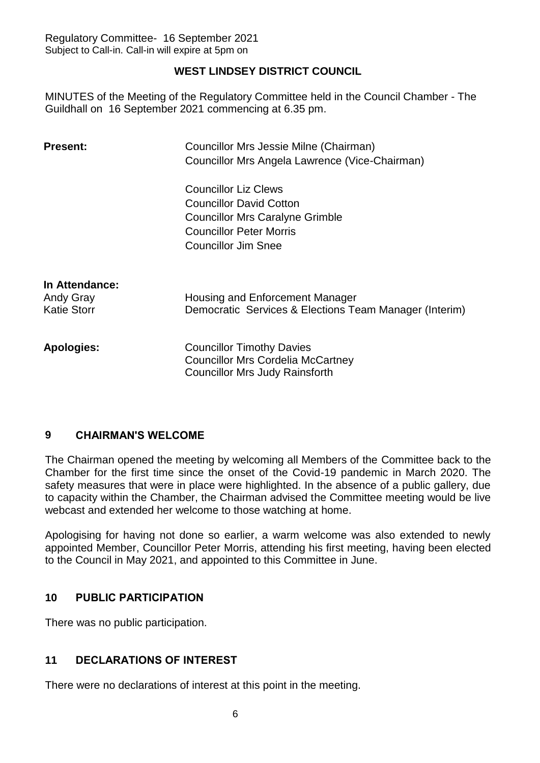# **WEST LINDSEY DISTRICT COUNCIL**

MINUTES of the Meeting of the Regulatory Committee held in the Council Chamber - The Guildhall on 16 September 2021 commencing at 6.35 pm.

| <b>Present:</b>    | Councillor Mrs Jessie Milne (Chairman)                 |
|--------------------|--------------------------------------------------------|
|                    | Councillor Mrs Angela Lawrence (Vice-Chairman)         |
|                    | <b>Councillor Liz Clews</b>                            |
|                    | <b>Councillor David Cotton</b>                         |
|                    | <b>Councillor Mrs Caralyne Grimble</b>                 |
|                    | <b>Councillor Peter Morris</b>                         |
|                    | <b>Councillor Jim Snee</b>                             |
|                    |                                                        |
| In Attendance:     |                                                        |
| <b>Andy Gray</b>   | Housing and Enforcement Manager                        |
| <b>Katie Storr</b> | Democratic Services & Elections Team Manager (Interim) |
|                    |                                                        |
| <b>Apologies:</b>  | <b>Councillor Timothy Davies</b>                       |
|                    | <b>Councillor Mrs Cordelia McCartney</b>               |
|                    | <b>Councillor Mrs Judy Rainsforth</b>                  |
|                    |                                                        |

# **9 CHAIRMAN'S WELCOME**

The Chairman opened the meeting by welcoming all Members of the Committee back to the Chamber for the first time since the onset of the Covid-19 pandemic in March 2020. The safety measures that were in place were highlighted. In the absence of a public gallery, due to capacity within the Chamber, the Chairman advised the Committee meeting would be live webcast and extended her welcome to those watching at home.

Apologising for having not done so earlier, a warm welcome was also extended to newly appointed Member, Councillor Peter Morris, attending his first meeting, having been elected to the Council in May 2021, and appointed to this Committee in June.

# **10 PUBLIC PARTICIPATION**

There was no public participation.

# **11 DECLARATIONS OF INTEREST**

There were no declarations of interest at this point in the meeting.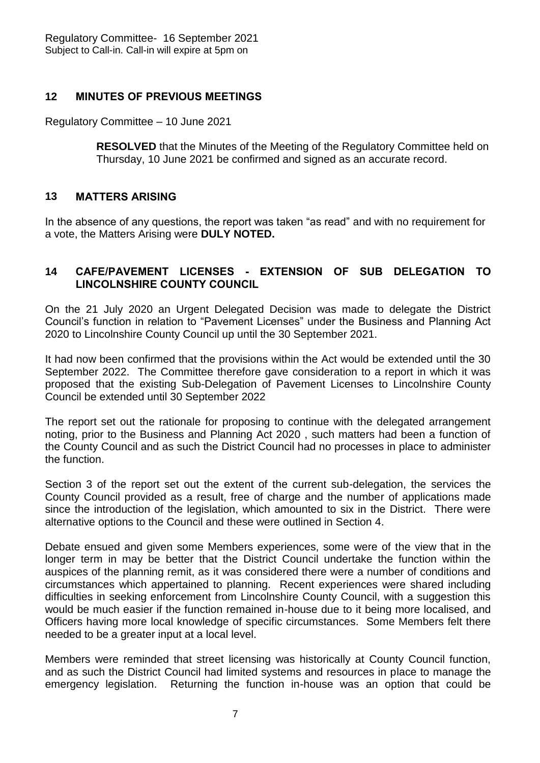## **12 MINUTES OF PREVIOUS MEETINGS**

Regulatory Committee – 10 June 2021

**RESOLVED** that the Minutes of the Meeting of the Regulatory Committee held on Thursday, 10 June 2021 be confirmed and signed as an accurate record.

## **13 MATTERS ARISING**

In the absence of any questions, the report was taken "as read" and with no requirement for a vote, the Matters Arising were **DULY NOTED.**

## **14 CAFE/PAVEMENT LICENSES - EXTENSION OF SUB DELEGATION TO LINCOLNSHIRE COUNTY COUNCIL**

On the 21 July 2020 an Urgent Delegated Decision was made to delegate the District Council's function in relation to "Pavement Licenses" under the Business and Planning Act 2020 to Lincolnshire County Council up until the 30 September 2021.

It had now been confirmed that the provisions within the Act would be extended until the 30 September 2022. The Committee therefore gave consideration to a report in which it was proposed that the existing Sub-Delegation of Pavement Licenses to Lincolnshire County Council be extended until 30 September 2022

The report set out the rationale for proposing to continue with the delegated arrangement noting, prior to the Business and Planning Act 2020 , such matters had been a function of the County Council and as such the District Council had no processes in place to administer the function.

Section 3 of the report set out the extent of the current sub-delegation, the services the County Council provided as a result, free of charge and the number of applications made since the introduction of the legislation, which amounted to six in the District. There were alternative options to the Council and these were outlined in Section 4.

Debate ensued and given some Members experiences, some were of the view that in the longer term in may be better that the District Council undertake the function within the auspices of the planning remit, as it was considered there were a number of conditions and circumstances which appertained to planning. Recent experiences were shared including difficulties in seeking enforcement from Lincolnshire County Council, with a suggestion this would be much easier if the function remained in-house due to it being more localised, and Officers having more local knowledge of specific circumstances. Some Members felt there needed to be a greater input at a local level.

Members were reminded that street licensing was historically at County Council function, and as such the District Council had limited systems and resources in place to manage the emergency legislation. Returning the function in-house was an option that could be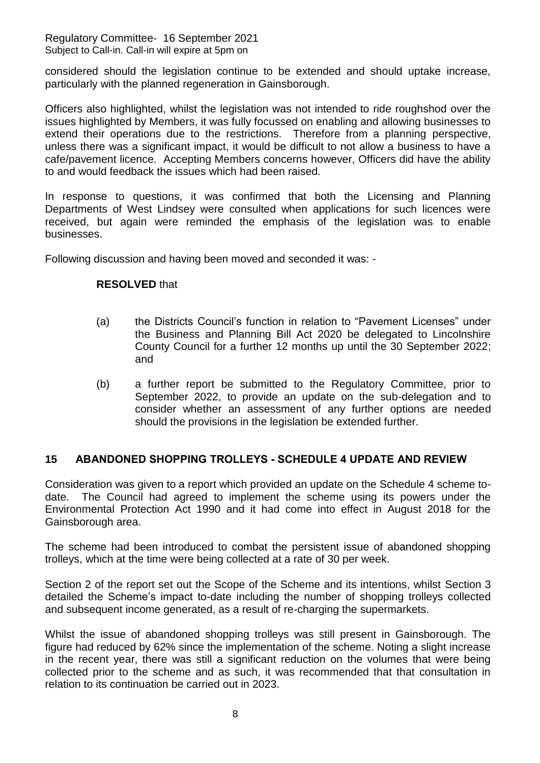Regulatory Committee- 16 September 2021 Subject to Call-in. Call-in will expire at 5pm on

considered should the legislation continue to be extended and should uptake increase, particularly with the planned regeneration in Gainsborough.

Officers also highlighted, whilst the legislation was not intended to ride roughshod over the issues highlighted by Members, it was fully focussed on enabling and allowing businesses to extend their operations due to the restrictions. Therefore from a planning perspective, unless there was a significant impact, it would be difficult to not allow a business to have a cafe/pavement licence. Accepting Members concerns however, Officers did have the ability to and would feedback the issues which had been raised.

In response to questions, it was confirmed that both the Licensing and Planning Departments of West Lindsey were consulted when applications for such licences were received, but again were reminded the emphasis of the legislation was to enable businesses.

Following discussion and having been moved and seconded it was: -

### **RESOLVED** that

- (a) the Districts Council's function in relation to "Pavement Licenses" under the Business and Planning Bill Act 2020 be delegated to Lincolnshire County Council for a further 12 months up until the 30 September 2022; and
- (b) a further report be submitted to the Regulatory Committee, prior to September 2022, to provide an update on the sub-delegation and to consider whether an assessment of any further options are needed should the provisions in the legislation be extended further.

### **15 ABANDONED SHOPPING TROLLEYS - SCHEDULE 4 UPDATE AND REVIEW**

Consideration was given to a report which provided an update on the Schedule 4 scheme todate. The Council had agreed to implement the scheme using its powers under the Environmental Protection Act 1990 and it had come into effect in August 2018 for the Gainsborough area.

The scheme had been introduced to combat the persistent issue of abandoned shopping trolleys, which at the time were being collected at a rate of 30 per week.

Section 2 of the report set out the Scope of the Scheme and its intentions, whilst Section 3 detailed the Scheme's impact to-date including the number of shopping trolleys collected and subsequent income generated, as a result of re-charging the supermarkets.

Whilst the issue of abandoned shopping trolleys was still present in Gainsborough. The figure had reduced by 62% since the implementation of the scheme. Noting a slight increase in the recent year, there was still a significant reduction on the volumes that were being collected prior to the scheme and as such, it was recommended that that consultation in relation to its continuation be carried out in 2023.